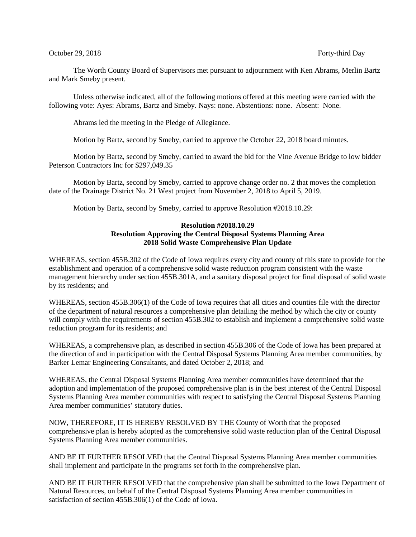## October 29, 2018 **Forty-third Day**

The Worth County Board of Supervisors met pursuant to adjournment with Ken Abrams, Merlin Bartz and Mark Smeby present.

Unless otherwise indicated, all of the following motions offered at this meeting were carried with the following vote: Ayes: Abrams, Bartz and Smeby. Nays: none. Abstentions: none. Absent: None.

Abrams led the meeting in the Pledge of Allegiance.

Motion by Bartz, second by Smeby, carried to approve the October 22, 2018 board minutes.

Motion by Bartz, second by Smeby, carried to award the bid for the Vine Avenue Bridge to low bidder Peterson Contractors Inc for \$297,049.35

Motion by Bartz, second by Smeby, carried to approve change order no. 2 that moves the completion date of the Drainage District No. 21 West project from November 2, 2018 to April 5, 2019.

Motion by Bartz, second by Smeby, carried to approve Resolution #2018.10.29:

## **Resolution #2018.10.29 Resolution Approving the Central Disposal Systems Planning Area 2018 Solid Waste Comprehensive Plan Update**

WHEREAS, section 455B.302 of the Code of Iowa requires every city and county of this state to provide for the establishment and operation of a comprehensive solid waste reduction program consistent with the waste management hierarchy under section 455B.301A, and a sanitary disposal project for final disposal of solid waste by its residents; and

WHEREAS, section 455B.306(1) of the Code of Iowa requires that all cities and counties file with the director of the department of natural resources a comprehensive plan detailing the method by which the city or county will comply with the requirements of section 455B.302 to establish and implement a comprehensive solid waste reduction program for its residents; and

WHEREAS, a comprehensive plan, as described in section 455B.306 of the Code of Iowa has been prepared at the direction of and in participation with the Central Disposal Systems Planning Area member communities, by Barker Lemar Engineering Consultants, and dated October 2, 2018; and

WHEREAS, the Central Disposal Systems Planning Area member communities have determined that the adoption and implementation of the proposed comprehensive plan is in the best interest of the Central Disposal Systems Planning Area member communities with respect to satisfying the Central Disposal Systems Planning Area member communities' statutory duties.

NOW, THEREFORE, IT IS HEREBY RESOLVED BY THE County of Worth that the proposed comprehensive plan is hereby adopted as the comprehensive solid waste reduction plan of the Central Disposal Systems Planning Area member communities.

AND BE IT FURTHER RESOLVED that the Central Disposal Systems Planning Area member communities shall implement and participate in the programs set forth in the comprehensive plan.

AND BE IT FURTHER RESOLVED that the comprehensive plan shall be submitted to the Iowa Department of Natural Resources, on behalf of the Central Disposal Systems Planning Area member communities in satisfaction of section 455B.306(1) of the Code of Iowa.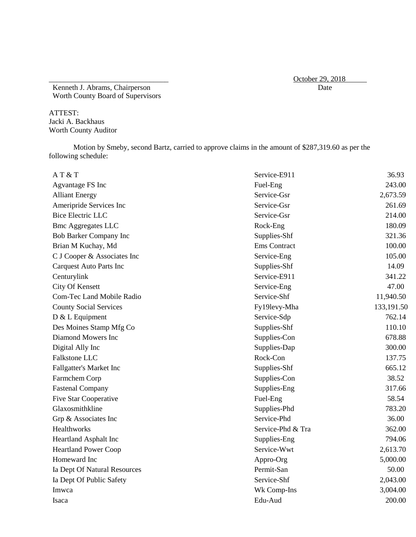\_\_\_\_\_\_\_\_\_\_\_\_\_\_\_\_\_\_\_\_\_\_\_\_\_\_\_\_\_\_\_\_ October 29, 2018

Kenneth J. Abrams, Chairperson Worth County Board of Supervisors

ATTEST: Jacki A. Backhaus Worth County Auditor

Motion by Smeby, second Bartz, carried to approve claims in the amount of \$287,319.60 as per the following schedule:

| AT & T                         | Service-E911        | 36.93      |
|--------------------------------|---------------------|------------|
| Agvantage FS Inc               | Fuel-Eng            | 243.00     |
| <b>Alliant Energy</b>          | Service-Gsr         | 2,673.59   |
| Ameripride Services Inc        | Service-Gsr         | 261.69     |
| <b>Bice Electric LLC</b>       | Service-Gsr         | 214.00     |
| <b>Bmc Aggregates LLC</b>      | Rock-Eng            | 180.09     |
| Bob Barker Company Inc         | Supplies-Shf        | 321.36     |
| Brian M Kuchay, Md             | <b>Ems</b> Contract | 100.00     |
| C J Cooper & Associates Inc    | Service-Eng         | 105.00     |
| <b>Carquest Auto Parts Inc</b> | Supplies-Shf        | 14.09      |
| Centurylink                    | Service-E911        | 341.22     |
| City Of Kensett                | Service-Eng         | 47.00      |
| Com-Tec Land Mobile Radio      | Service-Shf         | 11,940.50  |
| <b>County Social Services</b>  | Fy19levy-Mha        | 133,191.50 |
| D & L Equipment                | Service-Sdp         | 762.14     |
| Des Moines Stamp Mfg Co        | Supplies-Shf        | 110.10     |
| Diamond Mowers Inc             | Supplies-Con        | 678.88     |
| Digital Ally Inc               | Supplies-Dap        | 300.00     |
| Falkstone LLC                  | Rock-Con            | 137.75     |
| Fallgatter's Market Inc        | Supplies-Shf        | 665.12     |
| Farmchem Corp                  | Supplies-Con        | 38.52      |
| <b>Fastenal Company</b>        | Supplies-Eng        | 317.66     |
| <b>Five Star Cooperative</b>   | Fuel-Eng            | 58.54      |
| Glaxosmithkline                | Supplies-Phd        | 783.20     |
| Grp & Associates Inc           | Service-Phd         | 36.00      |
| Healthworks                    | Service-Phd & Tra   | 362.00     |
| Heartland Asphalt Inc          | Supplies-Eng        | 794.06     |
| <b>Heartland Power Coop</b>    | Service-Wwt         | 2,613.70   |
| Homeward Inc                   | Appro-Org           | 5,000.00   |
| Ia Dept Of Natural Resources   | Permit-San          | 50.00      |
| Ia Dept Of Public Safety       | Service-Shf         | 2,043.00   |
| Imwca                          | Wk Comp-Ins         | 3,004.00   |
| Isaca                          | Edu-Aud             | 200.00     |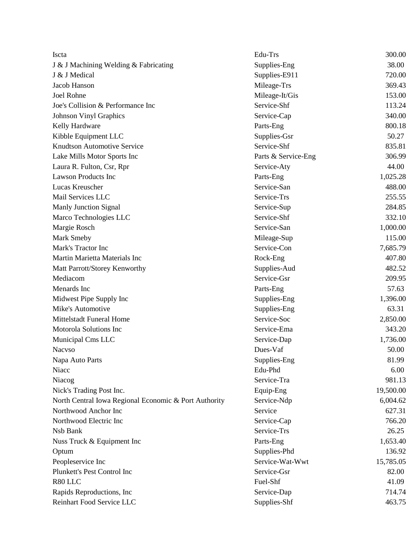| Iscta                                                 | Edu-Trs             | 300.00    |
|-------------------------------------------------------|---------------------|-----------|
| J & J Machining Welding & Fabricating                 | Supplies-Eng        | 38.00     |
| J & J Medical                                         | Supplies-E911       | 720.00    |
| Jacob Hanson                                          | Mileage-Trs         | 369.43    |
| Joel Rohne                                            | Mileage-It/Gis      | 153.00    |
| Joe's Collision & Performance Inc                     | Service-Shf         | 113.24    |
| <b>Johnson Vinyl Graphics</b>                         | Service-Cap         | 340.00    |
| Kelly Hardware                                        | Parts-Eng           | 800.18    |
| Kibble Equipment LLC                                  | Supplies-Gsr        | 50.27     |
| Knudtson Automotive Service                           | Service-Shf         | 835.81    |
| Lake Mills Motor Sports Inc                           | Parts & Service-Eng | 306.99    |
| Laura R. Fulton, Csr, Rpr                             | Service-Aty         | 44.00     |
| <b>Lawson Products Inc</b>                            | Parts-Eng           | 1,025.28  |
| Lucas Kreuscher                                       | Service-San         | 488.00    |
| Mail Services LLC                                     | Service-Trs         | 255.55    |
| <b>Manly Junction Signal</b>                          | Service-Sup         | 284.85    |
| Marco Technologies LLC                                | Service-Shf         | 332.10    |
| Margie Rosch                                          | Service-San         | 1,000.00  |
| <b>Mark Smeby</b>                                     | Mileage-Sup         | 115.00    |
| Mark's Tractor Inc                                    | Service-Con         | 7,685.79  |
| Martin Marietta Materials Inc                         | Rock-Eng            | 407.80    |
| Matt Parrott/Storey Kenworthy                         | Supplies-Aud        | 482.52    |
| Mediacom                                              | Service-Gsr         | 209.95    |
| Menards Inc                                           | Parts-Eng           | 57.63     |
| Midwest Pipe Supply Inc                               | Supplies-Eng        | 1,396.00  |
| Mike's Automotive                                     | Supplies-Eng        | 63.31     |
| Mittelstadt Funeral Home                              | Service-Soc         | 2,850.00  |
| Motorola Solutions Inc                                | Service-Ema         | 343.20    |
| Municipal Cms LLC                                     | Service-Dap         | 1,736.00  |
| <b>Nacyso</b>                                         | Dues-Vaf            | 50.00     |
| Napa Auto Parts                                       | Supplies-Eng        | 81.99     |
| Niacc                                                 | Edu-Phd             | 6.00      |
| Niacog                                                | Service-Tra         | 981.13    |
| Nick's Trading Post Inc.                              | Equip-Eng           | 19,500.00 |
| North Central Iowa Regional Economic & Port Authority | Service-Ndp         | 6,004.62  |
| Northwood Anchor Inc                                  | Service             | 627.31    |
| Northwood Electric Inc                                | Service-Cap         | 766.20    |
| Nsb Bank                                              | Service-Trs         | 26.25     |
| Nuss Truck & Equipment Inc                            | Parts-Eng           | 1,653.40  |
| Optum                                                 | Supplies-Phd        | 136.92    |
| Peopleservice Inc                                     | Service-Wat-Wwt     | 15,785.05 |
| Plunkett's Pest Control Inc                           | Service-Gsr         | 82.00     |
| R80 LLC                                               | Fuel-Shf            | 41.09     |
| Rapids Reproductions, Inc.                            | Service-Dap         | 714.74    |
| Reinhart Food Service LLC                             | Supplies-Shf        | 463.75    |